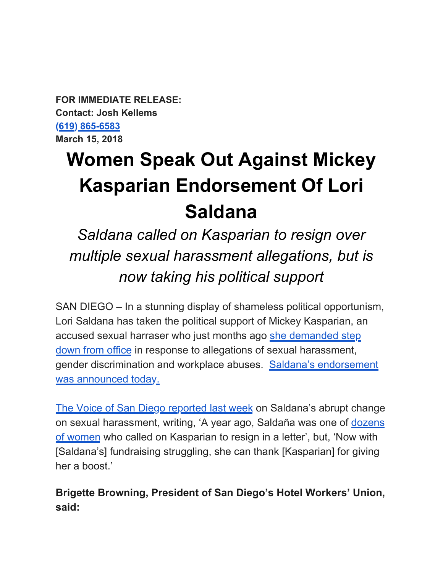**FOR IMMEDIATE RELEASE: Contact: Josh Kellems [\(619\) 865-6583](tel:(619)%20865-6583) March 15, 2018** 

## **Women Speak Out Against Mickey Kasparian Endorsement Of Lori Saldana**

*Saldana called on Kasparian to resign over multiple sexual harassment allegations, but is now taking his political support*

SAN DIEGO – In a stunning display of shameless political opportunism, Lori Saldana has taken the political support of Mickey Kasparian, an accused sexual harraser who just months ago [she demanded step](http://www.sandiegouniontribune.com/news/politics/sd-me-kasparian-letter-20170202-story.html)  [down from office](http://www.sandiegouniontribune.com/news/politics/sd-me-kasparian-letter-20170202-story.html) in response to allegations of sexual harassment, gender discrimination and workplace abuses. [Saldana's endorsement](https://www.facebook.com/SDWFC/?hc_ref=ARTtFNCu2iPVcKMSFJnYYSoozL8fOUTLnaOx7ZBUG7MBjMOFDRRpSjtktNucSqclJQI&fref=nf)  [was announced today.](https://www.facebook.com/SDWFC/?hc_ref=ARTtFNCu2iPVcKMSFJnYYSoozL8fOUTLnaOx7ZBUG7MBjMOFDRRpSjtktNucSqclJQI&fref=nf)

[The Voice of San Diego reported last week](https://www.voiceofsandiego.org/topics/news/politics-report-saldana-endorsement-upends-d4-race-labor/) on Saldana's abrupt change on sexual harassment, writing, 'A year ago, Saldaña was one of [dozens](http://www.sandiegouniontribune.com/news/politics/sd-me-kasparian-letter-20170202-story.html)  [of women](http://www.sandiegouniontribune.com/news/politics/sd-me-kasparian-letter-20170202-story.html) who called on Kasparian to resign in a letter', but, 'Now with [Saldana's] fundraising struggling, she can thank [Kasparian] for giving her a boost.'

**Brigette Browning, President of San Diego's Hotel Workers' Union, said:**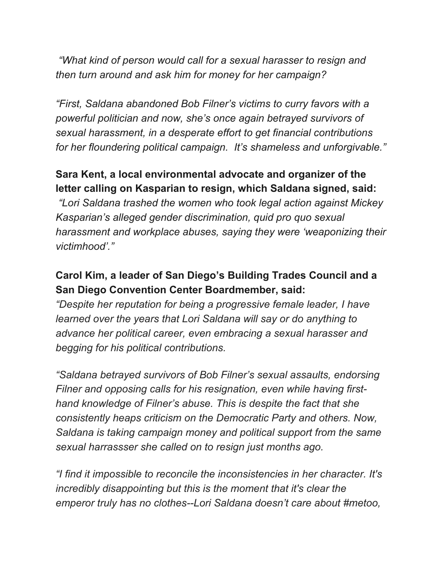*"What kind of person would call for a sexual harasser to resign and then turn around and ask him for money for her campaign?* 

*"First, Saldana abandoned Bob Filner's victims to curry favors with a powerful politician and now, she's once again betrayed survivors of sexual harassment, in a desperate effort to get financial contributions for her floundering political campaign. It's shameless and unforgivable."* 

## **Sara Kent, a local environmental advocate and organizer of the letter calling on Kasparian to resign, which Saldana signed, said:**

*"Lori Saldana trashed the women who took legal action against Mickey Kasparian's alleged gender discrimination, quid pro quo sexual harassment and workplace abuses, saying they were 'weaponizing their victimhood'."*

## **Carol Kim, a leader of San Diego's Building Trades Council and a San Diego Convention Center Boardmember, said:**

*"Despite her reputation for being a progressive female leader, I have learned over the years that Lori Saldana will say or do anything to advance her political career, even embracing a sexual harasser and begging for his political contributions.* 

*"Saldana betrayed survivors of Bob Filner's sexual assaults, endorsing Filner and opposing calls for his resignation, even while having firsthand knowledge of Filner's abuse. This is despite the fact that she consistently heaps criticism on the Democratic Party and others. Now, Saldana is taking campaign money and political support from the same sexual harrassser she called on to resign just months ago.* 

*"I find it impossible to reconcile the inconsistencies in her character. It's incredibly disappointing but this is the moment that it's clear the emperor truly has no clothes--Lori Saldana doesn't care about #metoo,*